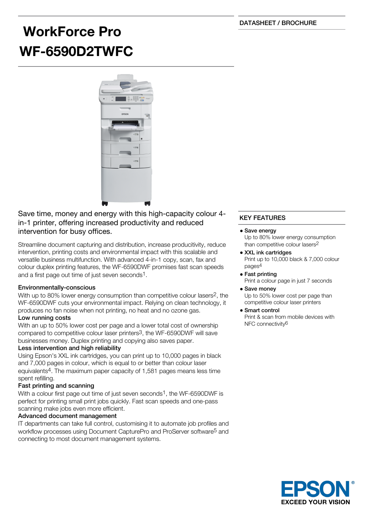DATASHEET / BROCHURE

# **WorkForce Pro WF-6590D2TWFC**



Save time, money and energy with this high-capacity colour 4 in-1 printer, offering increased productivity and reduced intervention for busy offices.

Streamline document capturing and distribution, increase producitivity, reduce intervention, printing costs and environmental impact with this scalable and versatile business multifunction. With advanced 4-in-1 copy, scan, fax and colour duplex printing features, the WF-6590DWF promises fast scan speeds and a first page out time of just seven seconds1.

# Environmentally-conscious

With up to 80% lower energy consumption than competitive colour lasers<sup>2</sup>, the WF-6590DWF cuts your environmental impact. Relying on clean technology, it produces no fan noise when not printing, no heat and no ozone gas.

## Low running costs

With an up to 50% lower cost per page and a lower total cost of ownership compared to competitive colour laser printers3, the WF-6590DWF will save businesses money. Duplex printing and copying also saves paper.

## Less intervention and high reliability

Using Epson's XXL ink cartridges, you can print up to 10,000 pages in black and 7,000 pages in colour, which is equal to or better than colour laser equivalents4. The maximum paper capacity of 1,581 pages means less time spent refilling.

# Fast printing and scanning

With a colour first page out time of just seven seconds<sup>1</sup>, the WF-6590DWF is perfect for printing small print jobs quickly. Fast scan speeds and one-pass scanning make jobs even more efficient.

## Advanced document management

IT departments can take full control, customising it to automate job profiles and workflow processes using Document CapturePro and ProServer software5 and connecting to most document management systems.

# KEY FEATURES

#### • Save energy

Up to 80% lower energy consumption than competitive colour lasers2

- XXL ink cartridges Print up to 10,000 black & 7,000 colour pages4
- Fast printing Print a colour page in just 7 seconds • Save money

Up to 50% lower cost per page than competitive colour laser printers

Smart control Print & scan from mobile devices with NFC connectivity6

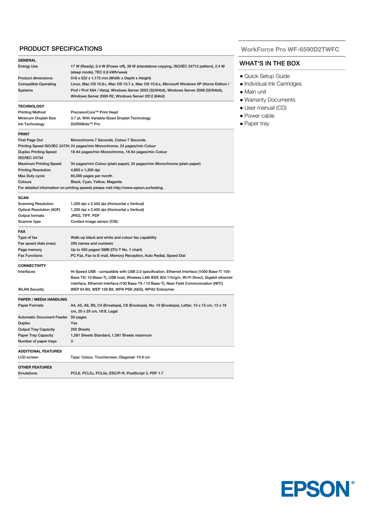# PRODUCT SPECIFICATIONS

| <b>GENERAL</b>                                            |                                                                                              |
|-----------------------------------------------------------|----------------------------------------------------------------------------------------------|
| <b>Energy Use</b>                                         | 17 W (Ready), 0.4 W (Power off), 39 W (standalone copying, ISO/IEC 24712 pattern), 2.4 W     |
|                                                           | (sleep mode), TEC 0.6 kWh/week                                                               |
| <b>Product dimensions</b>                                 | 516 x 522 x 1,175 mm (Width x Depth x Height)                                                |
| <b>Compatible Operating</b>                               | Linux, Mac OS 10.6+, Mac OS 10.7.x, Mac OS 10.8.x, Microsoft Windows XP (Home Edition /      |
| Systems                                                   | Prof / Prof X64 / Vista), Windows Server 2003 (32/64bit), Windows Server 2008 (32/64bit),    |
|                                                           | Windows Server 2008 R2, Windows Server 2012 (64bit)                                          |
| <b>TECHNOLOGY</b>                                         |                                                                                              |
| <b>Printing Method</b>                                    | PrecisionCore™ Print Head                                                                    |
| Minimum Droplet Size                                      | 3.7 pl, With Variable-Sized Droplet Technology                                               |
| Ink Technology                                            | DURABrite™ Pro                                                                               |
| <b>PRINT</b>                                              |                                                                                              |
| First Page Out                                            | Monochrome 7 Seconds, Colour 7 Seconds                                                       |
|                                                           | Printing Speed ISO/IEC 24734 24 pages/min Monochrome, 24 pages/min Colour                    |
| <b>Duplex Printing Speed</b>                              | 16 A4 pages/min Monochrome, 16 A4 pages/min Colour                                           |
| <b>ISO/IEC 24734</b>                                      |                                                                                              |
| <b>Maximum Printing Speed</b>                             | 34 pages/min Colour (plain paper), 34 pages/min Monochrome (plain paper)                     |
| <b>Printing Resolution</b>                                | 4,800 x 1,200 dpi                                                                            |
| Max Duty cycle                                            | 65,000 pages per month                                                                       |
| Colours                                                   | Black, Cyan, Yellow, Magenta                                                                 |
|                                                           | For detailed information on printing speeds please visit http://www.epson.eu/testing.        |
|                                                           |                                                                                              |
| <b>SCAN</b>                                               |                                                                                              |
| <b>Scanning Resolution</b>                                | 1,200 dpi x 2,400 dpi (Horizontal x Vertical)                                                |
| <b>Optical Resolution (ADF)</b>                           | 1,200 dpi x 2,400 dpi (Horizontal x Vertical)                                                |
| Output formats                                            | JPEG, TIFF, PDF                                                                              |
| Scanner type                                              | Contact image sensor (CIS)                                                                   |
| <b>FAX</b>                                                |                                                                                              |
| Type of fax                                               | Walk-up black and white and colour fax capability                                            |
| Fax speed dials (max)                                     | 200 names and numbers                                                                        |
| Page memory                                               | Up to 550 pages/ 6MB (ITU-T No. 1 chart)                                                     |
| <b>Fax Functions</b>                                      | PC Fax, Fax to E-mail, Memory Reception, Auto Redial, Speed Dial                             |
| <b>CONNECTIVITY</b>                                       |                                                                                              |
| Interfaces                                                | Hi-Speed USB - compatible with USB 2.0 specification, Ethernet Interface (1000 Base-T/ 100-  |
|                                                           | Base TX/ 10-Base-T), USB host, Wireless LAN IEEE 802.11b/g/n, Wi-Fi Direct, Gigabit ethernet |
|                                                           | interface, Ethernet interface (100 Base-TX / 10 Base-T), Near Field Communication (NFC)      |
| <b>WLAN Security</b>                                      | WEP 64 Bit, WEP 128 Bit, WPA PSK (AES), WPA2 Enterprise                                      |
| <b>PAPER / MEDIA HANDLING</b>                             |                                                                                              |
| <b>Paper Formats</b>                                      | A4, A5, A6, B5, C4 (Envelope), C6 (Envelope), No. 10 (Envelope), Letter, 10 x 15 cm, 13 x 18 |
|                                                           | cm, 20 x 25 cm, 16:9, Legal                                                                  |
| Automatic Document Feeder 50 pages                        |                                                                                              |
| <b>Duplex</b>                                             | Yes                                                                                          |
|                                                           |                                                                                              |
| <b>Output Tray Capacity</b><br><b>Paper Tray Capacity</b> | 250 Sheets                                                                                   |
| Number of paper trays                                     | 1,581 Sheets Standard, 1,581 Sheets maximum<br>3                                             |
|                                                           |                                                                                              |
| <b>ADDITIONAL FEATURES</b>                                |                                                                                              |
| <b>LCD</b> screen                                         | Type: Colour, Touchscreen, Diagonal: 10.9 cm                                                 |
| <b>OTHER FEATURES</b>                                     |                                                                                              |
| <b>Emulations</b>                                         | PCL6, PCL5c, PCL5e, ESC/P-R, PostScript 3, PDF 1.7                                           |
|                                                           |                                                                                              |

#### **WorkForce Pro WF-6590D2TWFC**

#### WHAT'S IN THE BOX

- Quick Setup Guide
- · Individual Ink Cartridges
- Main unit
- Warranty Documents
- User manual (CD)
- Power cable
- Paper tray